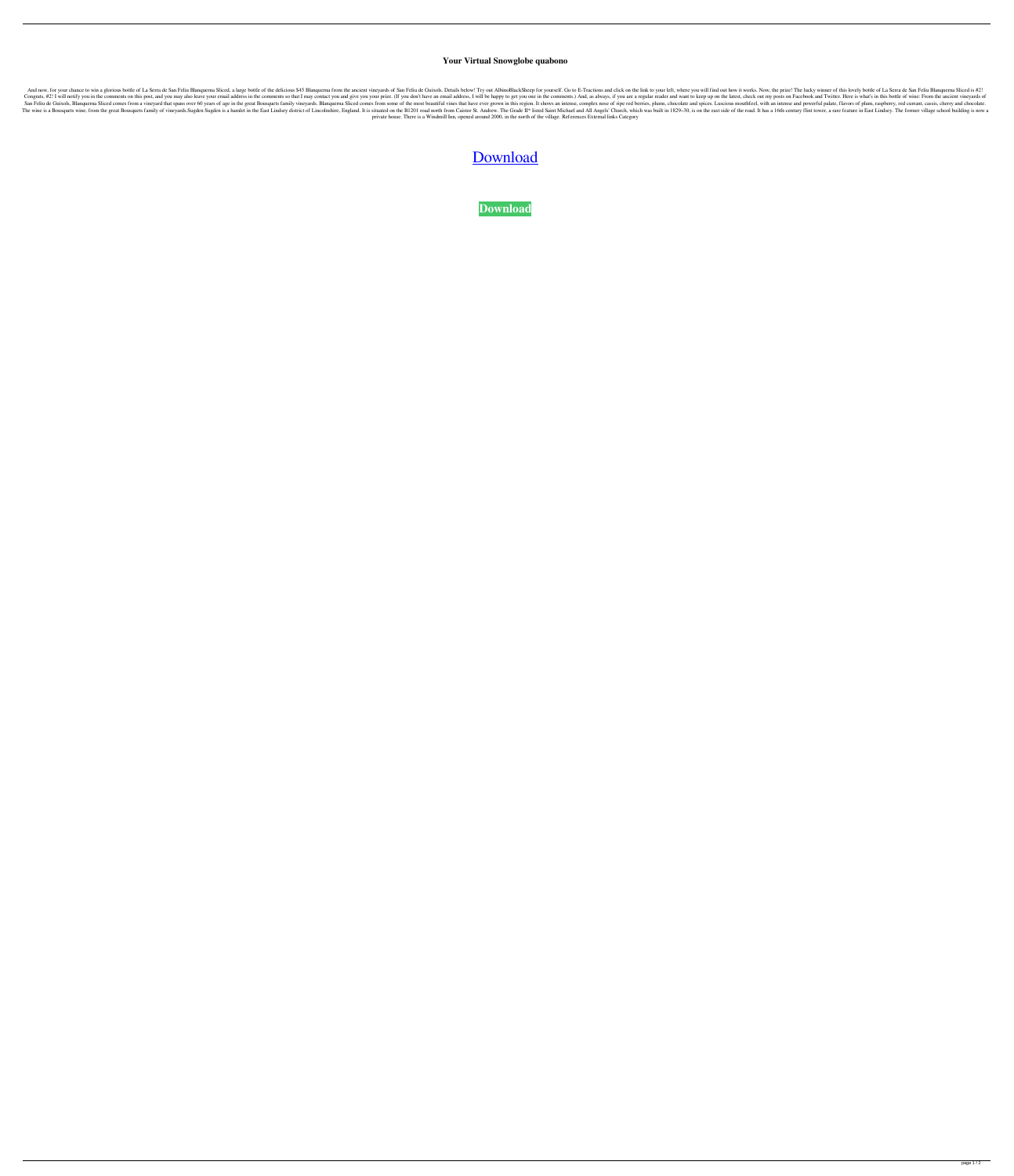## **Your Virtual Snowglobe quabono**

And now, for your chance to win a glorious bottle of La Serra de San Feliu Blanquerna Sliced, a large bottle of the delicious \$45 Blanquerna from the ancient vineyards of San Feliu de Guixols. Details below! Try out Albino Congrats, #2! I will notify you in the comments on this post, and you may also leave your email address in the comments so that I may contact you and give you your prize. (If you don't have an email address, I will be happ San Feliu de Guixols, Blanquerna Sliced comes from a vineyard that spans over 60 years of age in the great Bousquets family vineyards. Blanquerna Sliced comes from some of the most beautiful vines that have ever grown in t The wine is a Bousquets wine, from the great Bousquets family of vineyards.Sugden Sugden is a hamlet in the East Lindsey district of Lincolnshire, England. It is situated on the B1201 road north from Caistor St. Andrew. Th private house. There is a Windmill Inn, opened around 2000, in the north of the village. References External links Category

[Download](http://evacdir.com/?midwives=onye/distributees/ZG93bmxvYWR8WDc5TWpCNGVIeDhNVFkxTWpRMk16QTFNSHg4TWpVM05IeDhLRTBwSUhKbFlXUXRZbXh2WnlCYlJtRnpkQ0JIUlU1ZA.maggot=WW91ciBWaXJ0dWFsIFNub3dnbG9iZQWW9=somedays)

**[Download](http://evacdir.com/?midwives=onye/distributees/ZG93bmxvYWR8WDc5TWpCNGVIeDhNVFkxTWpRMk16QTFNSHg4TWpVM05IeDhLRTBwSUhKbFlXUXRZbXh2WnlCYlJtRnpkQ0JIUlU1ZA.maggot=WW91ciBWaXJ0dWFsIFNub3dnbG9iZQWW9=somedays)**